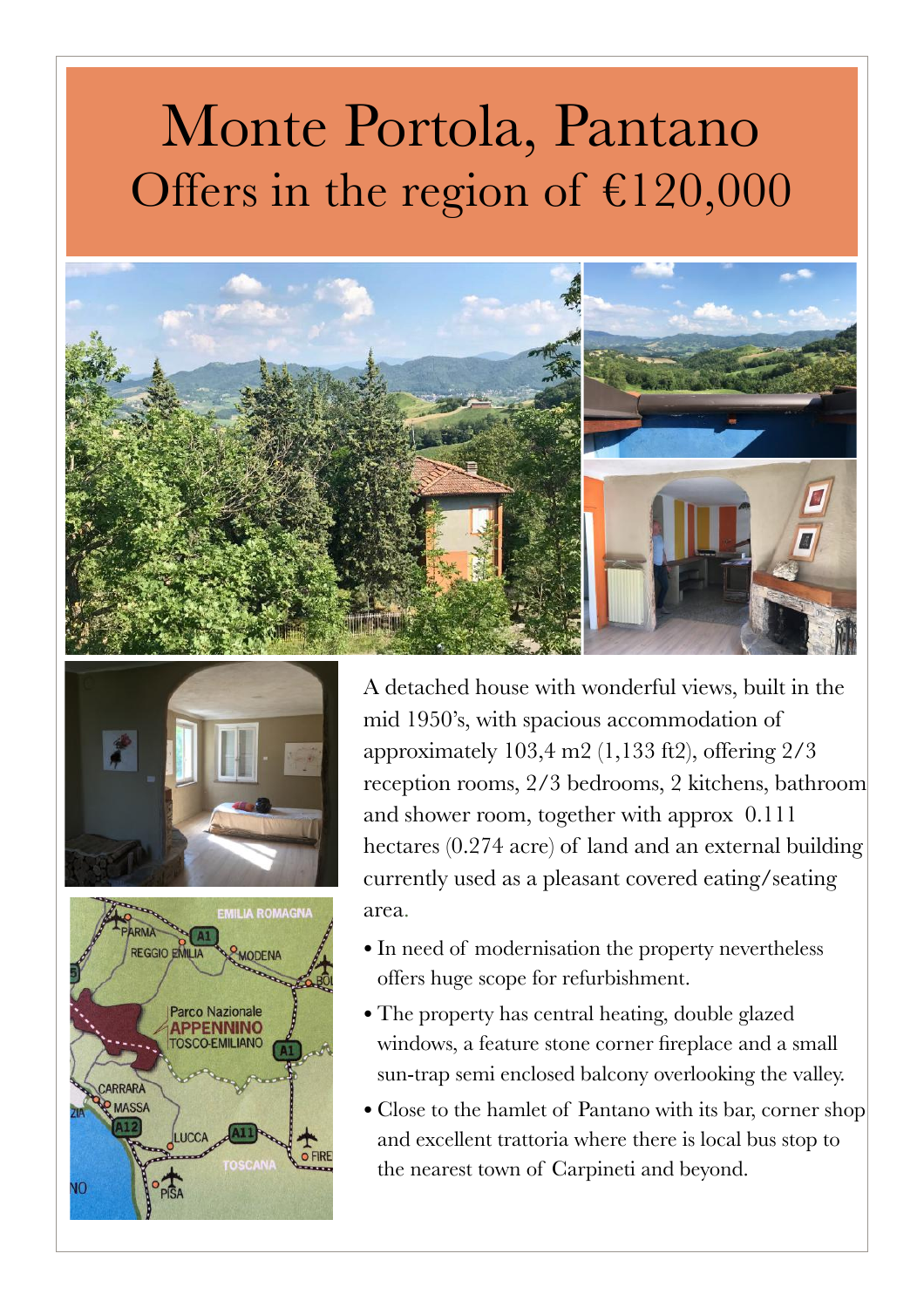## Monte Portola, Pantano Offers in the region of  $£120,000$







A detached house with wonderful views, built in the mid 1950's, with spacious accommodation of approximately 103,4 m2 (1,133 ft2), offering 2/3 reception rooms, 2/3 bedrooms, 2 kitchens, bathroom and shower room, together with approx 0.111 hectares (0.274 acre) of land and an external building currently used as a pleasant covered eating/seating area.

- In need of modernisation the property nevertheless offers huge scope for refurbishment.
- The property has central heating, double glazed windows, a feature stone corner fireplace and a small sun-trap semi enclosed balcony overlooking the valley.
- Close to the hamlet of Pantano with its bar, corner shop and excellent trattoria where there is local bus stop to the nearest town of Carpineti and beyond.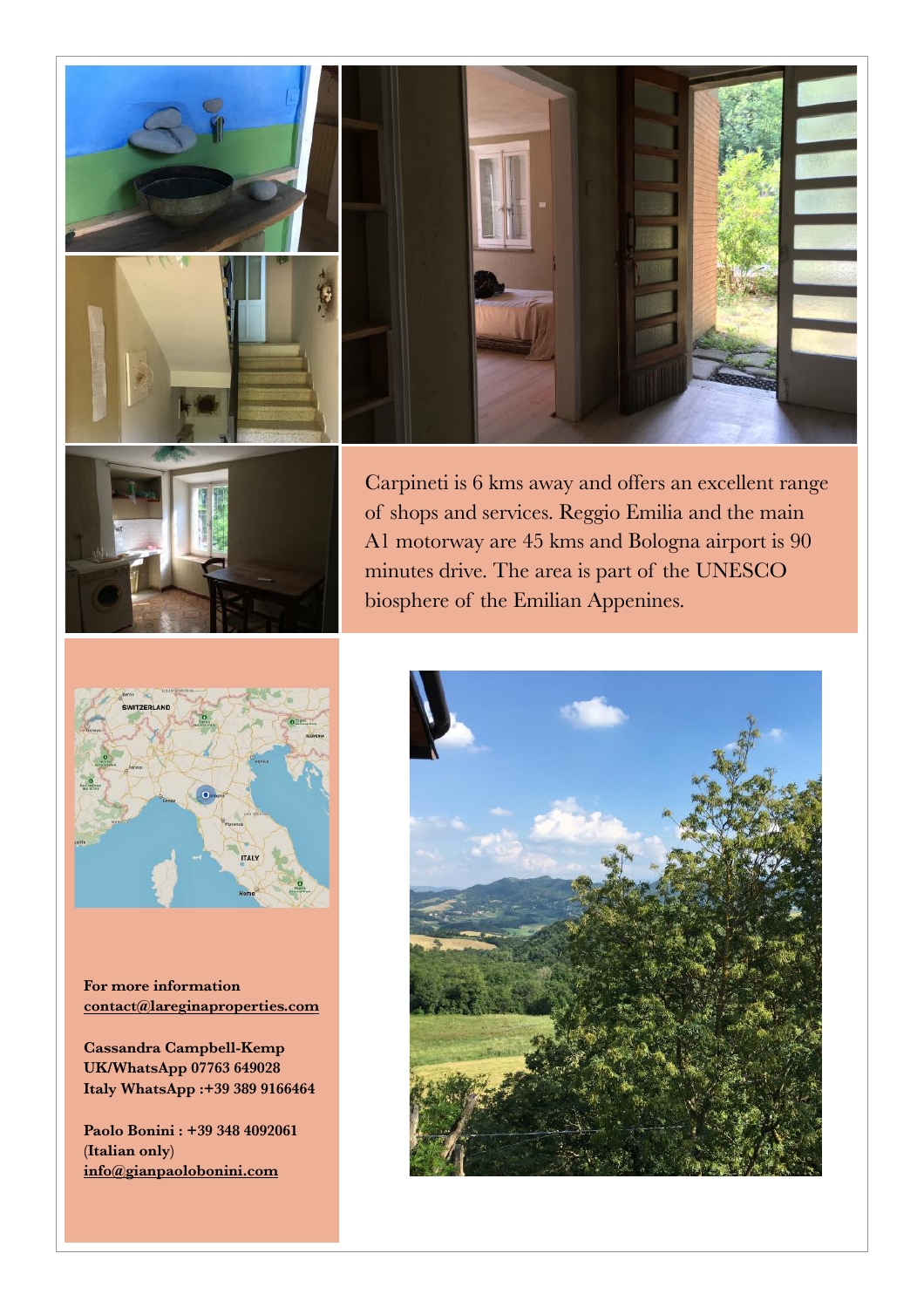



Carpineti is 6 kms away and offers an excellent range of shops and services. Reggio Emilia and the main A1 motorway are 45 kms and Bologna airport is 90 minutes drive. The area is part of the UNESCO biosphere of the Emilian Appenines.



**For more information [contact@lareginaproperties.com](http://www.apple.com)**

**Cassandra Campbell-Kemp UK/WhatsApp 07763 649028 Italy WhatsApp :+39 389 9166464** 

**Paolo Bonini : +39 348 4092061 (Italian only) [info@gianpaolobonini.com](http://www.apple.com)**